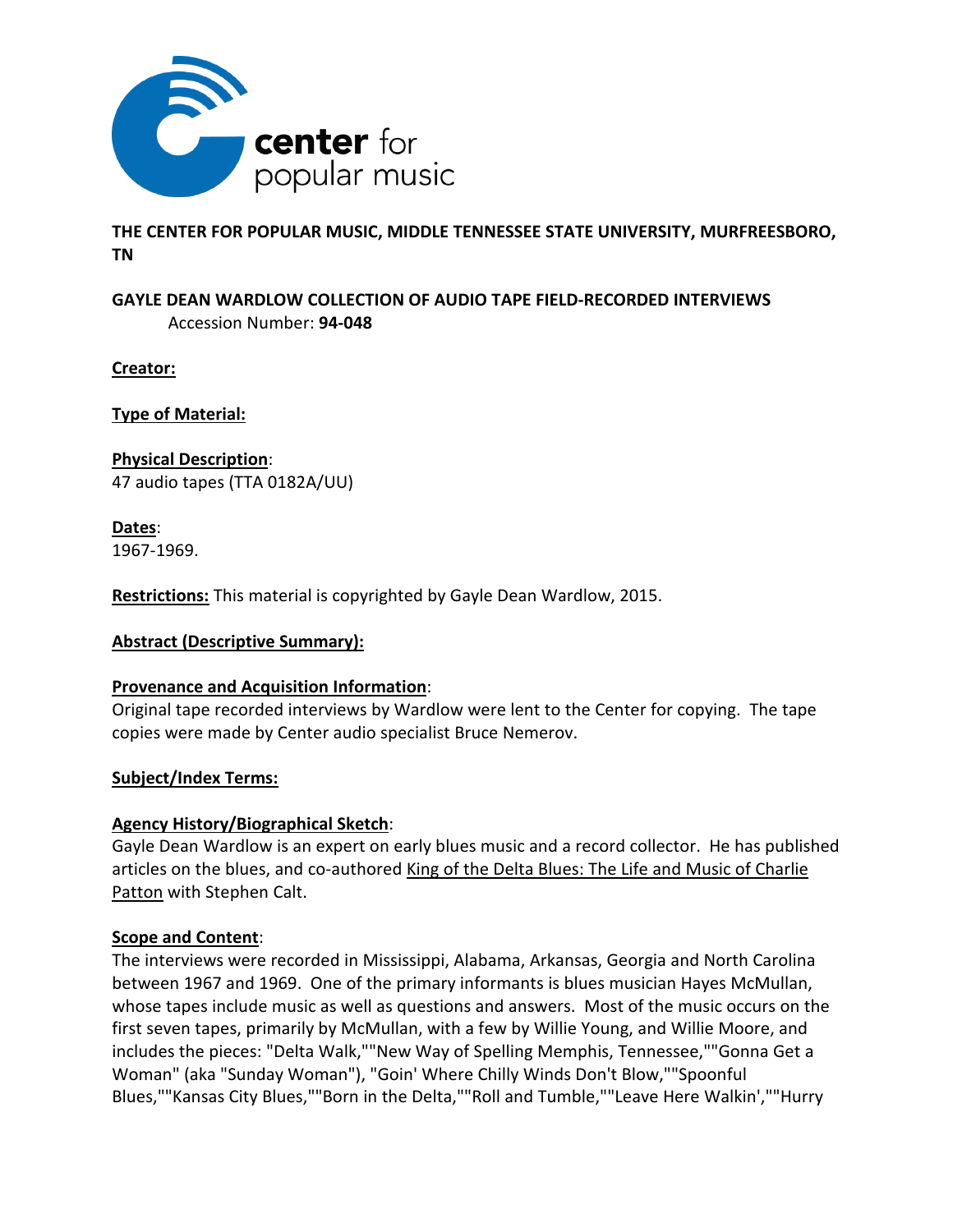

## **THE CENTER FOR POPULAR MUSIC, MIDDLE TENNESSEE STATE UNIVERSITY, MURFREESBORO, TN**

# **GAYLE DEAN WARDLOW COLLECTION OF AUDIO TAPE FIELD-RECORDED INTERVIEWS** Accession Number: **94-048**

**Creator:**

**Type of Material:**

**Physical Description**: 47 audio tapes (TTA 0182A/UU)

**Dates**: 1967-1969.

**Restrictions:** This material is copyrighted by Gayle Dean Wardlow, 2015.

## **Abstract (Descriptive Summary):**

## **Provenance and Acquisition Information**:

Original tape recorded interviews by Wardlow were lent to the Center for copying. The tape copies were made by Center audio specialist Bruce Nemerov.

### **Subject/Index Terms:**

## **Agency History/Biographical Sketch**:

Gayle Dean Wardlow is an expert on early blues music and a record collector. He has published articles on the blues, and co-authored King of the Delta Blues: The Life and Music of Charlie Patton with Stephen Calt.

### **Scope and Content**:

The interviews were recorded in Mississippi, Alabama, Arkansas, Georgia and North Carolina between 1967 and 1969. One of the primary informants is blues musician Hayes McMullan, whose tapes include music as well as questions and answers. Most of the music occurs on the first seven tapes, primarily by McMullan, with a few by Willie Young, and Willie Moore, and includes the pieces: "Delta Walk,""New Way of Spelling Memphis, Tennessee,""Gonna Get a Woman" (aka "Sunday Woman"), "Goin' Where Chilly Winds Don't Blow,""Spoonful Blues,""Kansas City Blues,""Born in the Delta,""Roll and Tumble,""Leave Here Walkin',""Hurry